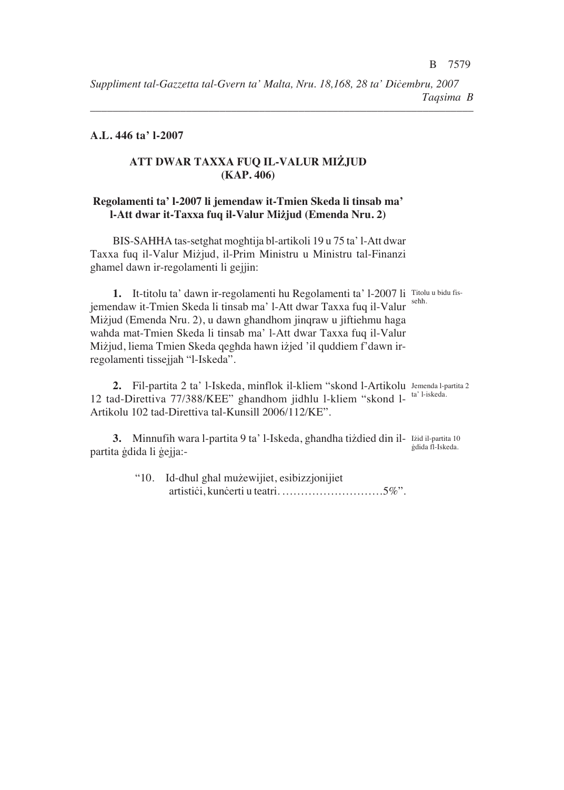*––––––––––––––––––––––––––––––––––––––––––––––––––––––––––––––––––––*

## **A.L. 446 ta' l-2007**

# **ATT DWAR TAXXA FUQ IL-VALUR MIŻJUD (KAP. 406)**

### **Regolamenti ta' l-2007 li jemendaw it-Tmien Skeda li tinsab ma' l-Att dwar it-Taxxa fuq il-Valur Mizjud (Emenda Nru. 2)**

BIS-SAHHA tas-setghat moghtija bl-artikoli 19 u 75 ta' l-Att dwar Taxxa fuq il-Valur Miżjud, il-Prim Ministru u Ministru tal-Finanzi ghamel dawn ir-regolamenti li gejjin:

**1.** It-titolu ta' dawn ir-regolamenti hu Regolamenti ta' l-2007 li Titolu u bidu fisjemendaw it-Tmien Skeda li tinsab ma' l-Att dwar Taxxa fuq il-Valur sehh. Mizjud (Emenda Nru. 2), u dawn ghandhom jinqraw u jiftiehmu haga wahda mat-Tmien Skeda li tinsab ma' l-Att dwar Taxxa fuq il-Valur Mizjud, liema Tmien Skeda qeghda hawn izjed 'il quddiem f'dawn irregolamenti tissejjah "l-Iskeda".

2. Fil-partita 2 ta' l-Iskeda, minflok il-kliem "skond l-Artikolu Jemenda l-partita 2 12 tad-Direttiva 77/388/KEE" ghandhom jidhlu l-kliem "skond l- <sup>ta' l-iskeda.</sup> Artikolu 102 tad-Direttiva tal-Kunsill 2006/112/KE".

3. Minnufih wara l-partita 9 ta' l-Iskeda, ghandha tiżdied din il- Izid il-partita 10 partita ģdida li ģejja:-;dida fl-Iskeda.

> "10. Id-dhul ghal muzewijiet, esibizzjonijiet artistiçi, kunçerti u teatri. ………………………5%".